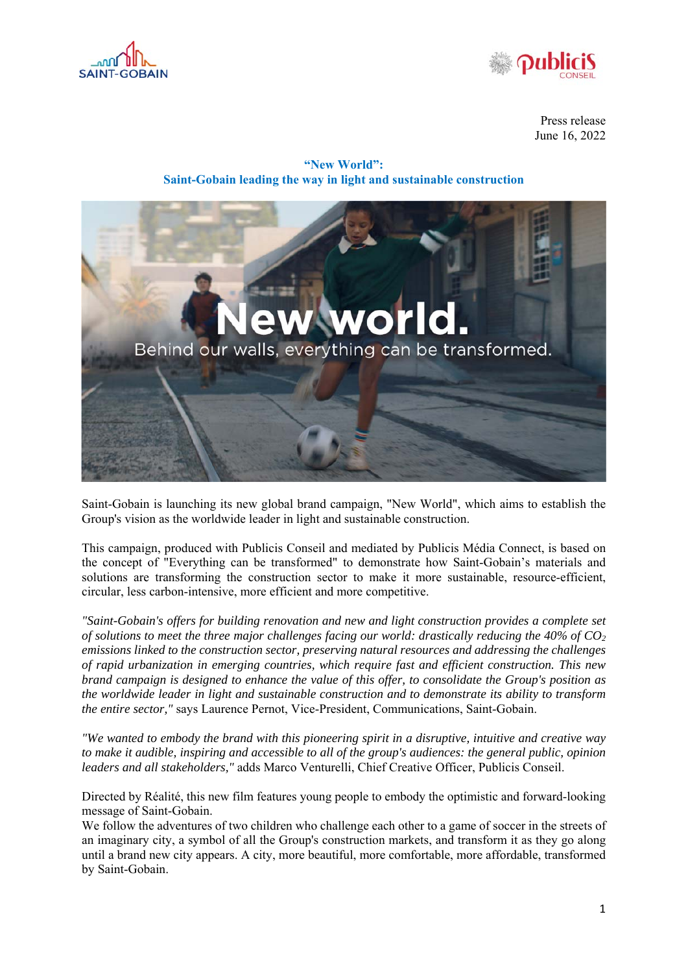



Press release June 16, 2022

**"New World": Saint-Gobain leading the way in light and sustainable construction** 



Saint-Gobain is launching its new global brand campaign, "New World", which aims to establish the Group's vision as the worldwide leader in light and sustainable construction.

This campaign, produced with Publicis Conseil and mediated by Publicis Média Connect, is based on the concept of "Everything can be transformed" to demonstrate how Saint-Gobain's materials and solutions are transforming the construction sector to make it more sustainable, resource-efficient, circular, less carbon-intensive, more efficient and more competitive.

*"Saint-Gobain's offers for building renovation and new and light construction provides a complete set of solutions to meet the three major challenges facing our world: drastically reducing the 40% of CO2 emissions linked to the construction sector, preserving natural resources and addressing the challenges of rapid urbanization in emerging countries, which require fast and efficient construction. This new brand campaign is designed to enhance the value of this offer, to consolidate the Group's position as the worldwide leader in light and sustainable construction and to demonstrate its ability to transform the entire sector,"* says Laurence Pernot, Vice-President, Communications, Saint-Gobain.

*"We wanted to embody the brand with this pioneering spirit in a disruptive, intuitive and creative way to make it audible, inspiring and accessible to all of the group's audiences: the general public, opinion leaders and all stakeholders,"* adds Marco Venturelli, Chief Creative Officer, Publicis Conseil.

Directed by Réalité, this new film features young people to embody the optimistic and forward-looking message of Saint-Gobain.

We follow the adventures of two children who challenge each other to a game of soccer in the streets of an imaginary city, a symbol of all the Group's construction markets, and transform it as they go along until a brand new city appears. A city, more beautiful, more comfortable, more affordable, transformed by Saint-Gobain.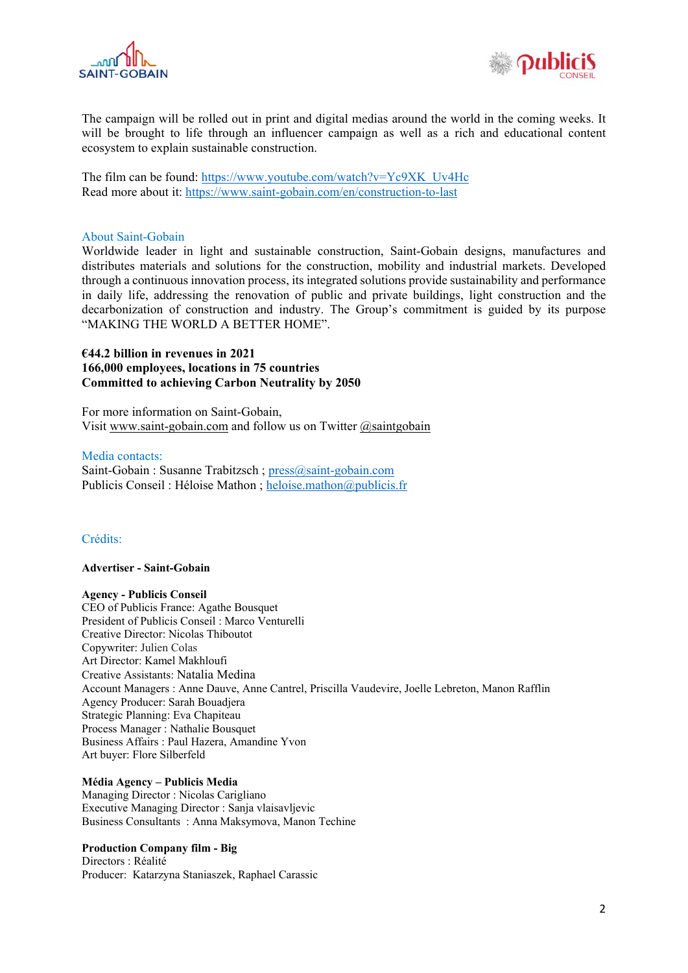![](_page_1_Picture_0.jpeg)

![](_page_1_Picture_1.jpeg)

The campaign will be rolled out in print and digital medias around the world in the coming weeks. It will be brought to life through an influencer campaign as well as a rich and educational content ecosystem to explain sustainable construction.

The film can be found: https://www.youtube.com/watch?v=Yc9XK\_Uv4Hc Read more about it: https://www.saint-gobain.com/en/construction-to-last

### About Saint-Gobain

Worldwide leader in light and sustainable construction, Saint-Gobain designs, manufactures and distributes materials and solutions for the construction, mobility and industrial markets. Developed through a continuous innovation process, its integrated solutions provide sustainability and performance in daily life, addressing the renovation of public and private buildings, light construction and the decarbonization of construction and industry. The Group's commitment is guided by its purpose "MAKING THE WORLD A BETTER HOME".

# **€44.2 billion in revenues in 2021 166,000 employees, locations in 75 countries Committed to achieving Carbon Neutrality by 2050**

For more information on Saint-Gobain, Visit www.saint-gobain.com and follow us on Twitter @saintgobain

### Media contacts:

Saint-Gobain : Susanne Trabitzsch ; press@saint-gobain.com Publicis Conseil : Héloise Mathon ; heloise.mathon@publicis.fr

## Crédits:

#### **Advertiser - Saint-Gobain**

## **Agency - Publicis Conseil**

CEO of Publicis France: Agathe Bousquet President of Publicis Conseil : Marco Venturelli Creative Director: Nicolas Thiboutot Copywriter: Julien Colas Art Director: Kamel Makhloufi Creative Assistants: Natalia Medina Account Managers : Anne Dauve, Anne Cantrel, Priscilla Vaudevire, Joelle Lebreton, Manon Rafflin Agency Producer: Sarah Bouadjera Strategic Planning: Eva Chapiteau Process Manager : Nathalie Bousquet Business Affairs : Paul Hazera, Amandine Yvon Art buyer: Flore Silberfeld

#### **Média Agency – Publicis Media**

Managing Director : Nicolas Carigliano Executive Managing Director : Sanja vlaisavljevic Business Consultants : Anna Maksymova, Manon Techine

## **Production Company film - Big**

Directors : Réalité Producer: Katarzyna Staniaszek, Raphael Carassic